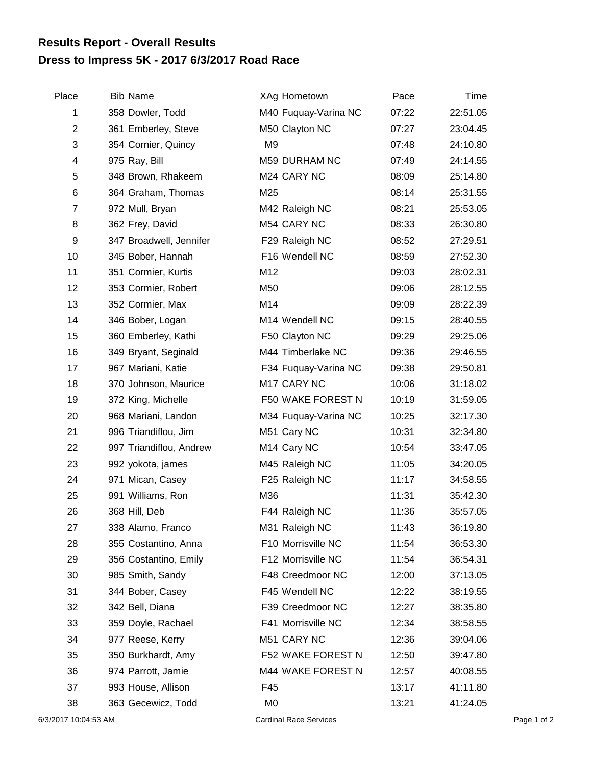## **Dress to Impress 5K - 2017 6/3/2017 Road Race Results Report - Overall Results**

| Place          | <b>Bib Name</b>         | XAg Hometown            | Pace  | Time     |
|----------------|-------------------------|-------------------------|-------|----------|
| 1              | 358 Dowler, Todd        | M40 Fuquay-Varina NC    | 07:22 | 22:51.05 |
| $\overline{2}$ | 361 Emberley, Steve     | M50 Clayton NC          | 07:27 | 23:04.45 |
| 3              | 354 Cornier, Quincy     | M <sub>9</sub>          | 07:48 | 24:10.80 |
| 4              | 975 Ray, Bill           | M59 DURHAM NC           | 07:49 | 24:14.55 |
| 5              | 348 Brown, Rhakeem      | M24 CARY NC             | 08:09 | 25:14.80 |
| 6              | 364 Graham, Thomas      | M25                     | 08:14 | 25:31.55 |
| $\overline{7}$ | 972 Mull, Bryan         | M42 Raleigh NC          | 08:21 | 25:53.05 |
| 8              | 362 Frey, David         | M54 CARY NC             | 08:33 | 26:30.80 |
| 9              | 347 Broadwell, Jennifer | F29 Raleigh NC          | 08:52 | 27:29.51 |
| 10             | 345 Bober, Hannah       | F16 Wendell NC          | 08:59 | 27:52.30 |
| 11             | 351 Cormier, Kurtis     | M12                     | 09:03 | 28:02.31 |
| 12             | 353 Cormier, Robert     | M50                     | 09:06 | 28:12.55 |
| 13             | 352 Cormier, Max        | M14                     | 09:09 | 28:22.39 |
| 14             | 346 Bober, Logan        | M14 Wendell NC          | 09:15 | 28:40.55 |
| 15             | 360 Emberley, Kathi     | F50 Clayton NC          | 09:29 | 29:25.06 |
| 16             | 349 Bryant, Seginald    | M44 Timberlake NC       | 09:36 | 29:46.55 |
| 17             | 967 Mariani, Katie      | F34 Fuquay-Varina NC    | 09:38 | 29:50.81 |
| 18             | 370 Johnson, Maurice    | M17 CARY NC             | 10:06 | 31:18.02 |
| 19             | 372 King, Michelle      | F50 WAKE FOREST N       | 10:19 | 31:59.05 |
| 20             | 968 Mariani, Landon     | M34 Fuquay-Varina NC    | 10:25 | 32:17.30 |
| 21             | 996 Triandiflou, Jim    | M51 Cary NC             | 10:31 | 32:34.80 |
| 22             | 997 Triandiflou, Andrew | M <sub>14</sub> Cary NC | 10:54 | 33:47.05 |
| 23             | 992 yokota, james       | M45 Raleigh NC          | 11:05 | 34:20.05 |
| 24             | 971 Mican, Casey        | F25 Raleigh NC          | 11:17 | 34:58.55 |
| 25             | 991 Williams, Ron       | M36                     | 11:31 | 35:42.30 |
| 26             | 368 Hill, Deb           | F44 Raleigh NC          | 11:36 | 35:57.05 |
| 27             | 338 Alamo, Franco       | M31 Raleigh NC          | 11:43 | 36:19.80 |
| 28             | 355 Costantino, Anna    | F10 Morrisville NC      | 11:54 | 36:53.30 |
| 29             | 356 Costantino, Emily   | F12 Morrisville NC      | 11:54 | 36:54.31 |
| 30             | 985 Smith, Sandy        | F48 Creedmoor NC        | 12:00 | 37:13.05 |
| 31             | 344 Bober, Casey        | F45 Wendell NC          | 12:22 | 38:19.55 |
| 32             | 342 Bell, Diana         | F39 Creedmoor NC        | 12:27 | 38:35.80 |
| 33             | 359 Doyle, Rachael      | F41 Morrisville NC      | 12:34 | 38:58.55 |
| 34             | 977 Reese, Kerry        | M51 CARY NC             | 12:36 | 39:04.06 |
| 35             | 350 Burkhardt, Amy      | F52 WAKE FOREST N       | 12:50 | 39:47.80 |
| 36             | 974 Parrott, Jamie      | M44 WAKE FOREST N       | 12:57 | 40:08.55 |
| 37             | 993 House, Allison      | F45                     | 13:17 | 41:11.80 |
| 38             | 363 Gecewicz, Todd      | M <sub>0</sub>          | 13:21 | 41:24.05 |